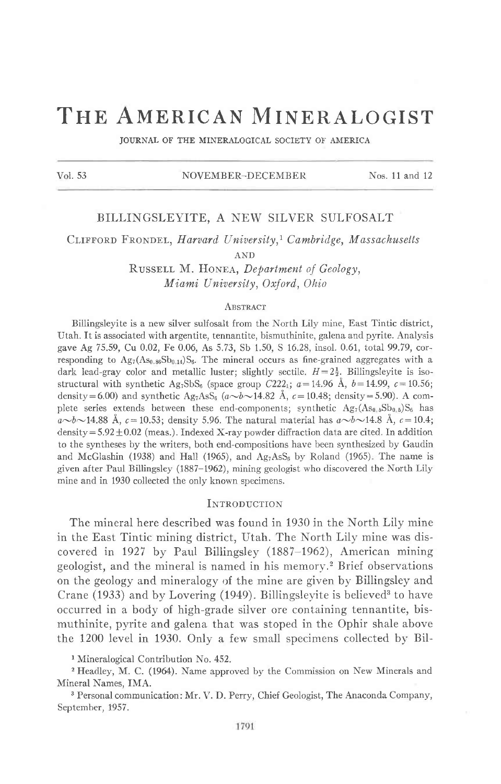# THE AMERICAN MINERALOGIST

JOURNAL OF THE MINERALOGICAL SOCIETY OF AMERICA

### Vol. 53 NOVEMBER-DECEMBER Nos. 11 and 12

## BILLINGSLEYITE, A NEW SILVER SULFOSALT

CLIFFORD FRONDEL, Harvard University,<sup>1</sup> Cambridge, Massachusetts

AND

RUSSELL M. HONEA, Department of Geology, Miami University, Oxford, Ohio

#### **ABSTRACT**

Billingsleyite is a new silver sulfosalt from the North Lily mine, East Tintic district, Utah. It is associated with argentite, tennantite, bismuthinite, galena and pyrite. Analysis gave Ag 75.59, Cu 0.02, Fe 0.06, As 5.73, Sb 1.50, S 16.28, insol.0.61, total 99.79, corresponding to  $Ag_7(As_{0.86}Sb_{0.14})S_6$ . The mineral occurs as fine-grained aggregates with a dark lead-gray color and metallic luster; slightly sectile.  $H=2\frac{1}{2}$ . Billingsleyite is isostructural with synthetic Ag<sub>7</sub>SbS<sub>6</sub> (space group C222<sub>1</sub>;  $a=14.96$  Å,  $b=14.99$ ,  $c=10.56$ ; density=6.00) and synthetic Ag<sub>7</sub>AsS<sub>6</sub>  $(a \sim b \sim 14.82$  Å,  $c=10.48$ ; density=5.90). A complete series extends between these end-components; synthetic  $Ag_7(As_0,{}_{5}Sb_0,{}_{5})S_6$  has  $a\rightarrow b\rightarrow 14.88$  Å,  $c=10.53$ ; density 5.96. The natural material has  $a\rightarrow b\rightarrow 14.8$  Å,  $c=10.4$ ; density =  $5.92 \pm 0.02$  (meas.). Indexed X-ray powder diffraction data are cited. In addition to the syntheses by the writers, both end-compositions have been synthesized by Gaudin and McGlashin (1938) and Hall (1965), and  $Ag_7AsS_6$  by Roland (1965). The name is given after Paul Billingsley (1887-1962), mining geologist who discovered the North Lily mine and in 1930 collected the only known specimens.

#### INTRODUCTION

The mineral here described was found in 1930 in the North Lily mine in the East Tintic mining district, Utah. The North Lily mine was discovered in 1927 by Paul Billingsley (1887-1962), American mining geologist, and the mineral is named in his memorv.2 Brief observations on the geology and mineralogy of the mine are given by Billingsley and Crane (1933) and by Lovering (1949). Billingslevite is believed<sup>3</sup> to have occurred in a body of high-grade silver ore containing tennantite, bismuthinite, pyrite and galena that was stoped in the Ophir shale above the 1200 level in 1930. Only a few small specimens collected by Bil-

<sup>1</sup> Mineralogical Contribution No. 452.

2 Headley, M. C. (1964). Name approved by the Commission on New Minerals and Mineral Names, IMA.

3 Personal communication: Mr. \'. D. Perry, Chief Geologist, The Anaconda Company, September, 1957.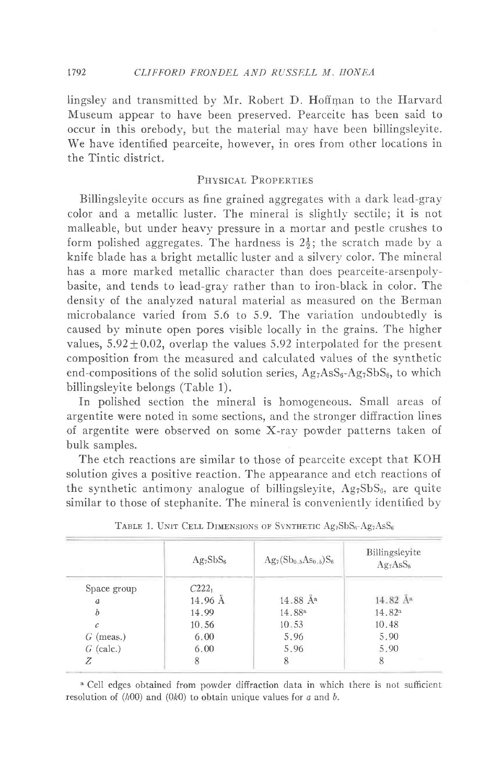lingsley and transmitted by Mr. Robert D. Hoffman to the Harvard Museum appear to have been preserved. Pearceite has been said to occur in this orebody, but the material may have been billingsleyite. We have identified pearceite, however, in ores from other locations in the Tintic district.

## PHYSICAL PROPERTIES

Billingsleyite occurs as fine grained aggregates with a dark lead-gray color and a metallic luster. The mineral is slightly sectile; it is not malleable, but under heavy pressure in a mortar and pestle crushes to form polished aggregates. The hardness is  $2\frac{1}{2}$ ; the scratch made by a knife blade has a bright metallic luster and a silvery color. The mineral has a more marked metallic character than does pearceite-arsenpolybasite, and tends to lead-gray rather than to iron-black in coior. The density of the analyzed natural material as measured on the Berman microbalance varied from 5.6 to 5.9. The variation undoubtedly is caused by minute open pores visibie locally in the grains. The higher values,  $5.92 \pm 0.02$ , overlap the values 5.92 interpolated for the present composition from the measured and calculated values of the synthetic end-compositions of the solid solution series,  $Ag_7AsS_6-Ag_7SbS_6$ , to which billingsleyite belongs (Table 1).

In polished section the mineral is homogeneous. Small areas of argentite were noted in some sections, and the stronger diffraction lines of argentite were observed on some X-ray powder patterns taken of bulk samples.

The etch reactions are similar to those of pearceite except that KOH solution gives a positive reaction. The appearance and etch reactions of the synthetic antimony analogue of billingsleyite,  $Ag_7SbS_6$ , are quite similar to those of stephanite. The mineral is conveniently identified by

|                  | $Ag_7SbS_6$ | $Ag_7(Sb_{0.5}As_{0.5})S_6$ | Billingsleyite<br>Ag <sub>7</sub> AsS <sub>6</sub> |
|------------------|-------------|-----------------------------|----------------------------------------------------|
| Space group      | $C222_1$    |                             |                                                    |
| $\boldsymbol{a}$ | 14.96 Å     | 14.88 A <sup>a</sup>        | 14.82 Å <sup>a</sup>                               |
| $\boldsymbol{b}$ | 14.99       | 14.88 <sup>a</sup>          | 14.82 <sup>a</sup>                                 |
| c                | 10.56       | 10.53                       | 10.48                                              |
| $G$ (meas.)      | 6.00        | 5.96                        | 5.90                                               |
| $G$ (calc.)      | 6.00        | 5.96                        | 5.90                                               |
| Ζ                | 8           | 8                           | 8                                                  |

TABLE 1. UNIT CELL DIMENSIONS OF SYNTHETIC  $Ag_7SbS_6-Ag_7AsS_6$ 

<sup>a</sup> Cell edges obtained from powder diffraction data in which there is not sufficient resolution of  $(h00)$  and  $(0k0)$  to obtain unique values for a and b.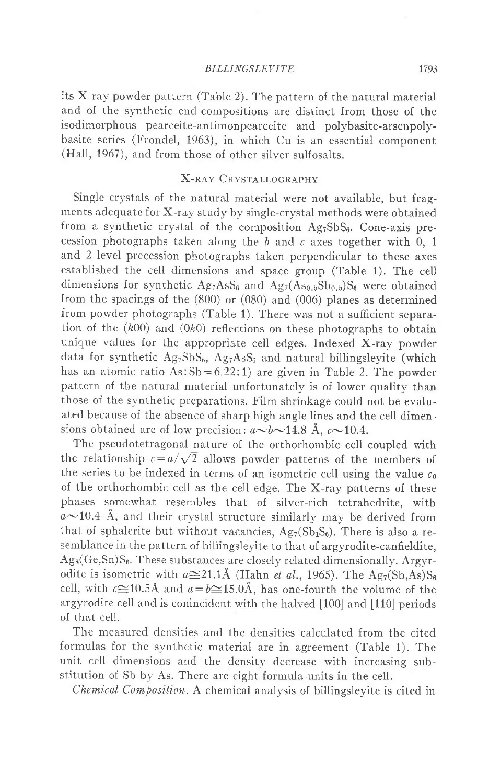#### BILLINGSLEYITE 1793

its X-ray powder pattern (Table 2). The pattern of the natural material and of the svnthetic end-compositions are distinct from those of the isodimorphous pearceite-antimonpearceite and polybasite-arsenpolybasite series (Frondel, 1963), in which Cu is an essential component (Hall, 1967), and from those of other silver sulfosalts.

## X-RAY CRYSTALLOGRAPHY

Single crvstals of the natural material were not available, but fragments adequate for X-ray study by single-crystal methods were obtained from a synthetic crystal of the composition  $Ag_7SbS_6$ . Cone-axis precession photographs taken along the  $b$  and  $c$  axes together with 0, 1 and 2 level precession photographs taken perpendicular to these axes established the cell dimensions and space group (Table 1). The cell dimensions for synthetic  $Ag_7AsS_6$  and  $Ag_7(As_{0.5}Sb_{0.5})S_6$  were obtained from the spacings of the (800) or (080) and (006) planes as determined from powder photographs (Table 1). There was not a sufficient separation of the  $(h00)$  and  $(0k0)$  reflections on these photographs to obtain unique values for the appropriate cell edges. Indexed X-ray powder data for synthetic  $Ag_7SbS_6$ ,  $Ag_7AsS_6$  and natural billingslevite (which has an atomic ratio  $As:Sb = 6.22:1$  are given in Table 2. The powder pattern of the natural material unfortunately is of lower quality than those of the synthetic preparations. Film shrinkage could not be evaluated because of the absence of sharp high angle lines and the cell dimensions obtained are of low precision:  $a \sim b \sim 14.8$  Å,  $c \sim 10.4$ .

The pseudotetragonal nature of the orthorhombic cell coupled with the relationship  $c = a/\sqrt{2}$  allows powder patterns of the members of the series to be indexed in terms of an isometric cell using the value  $c_0$ of the orthorhombic cell as the cell edge. The X-ray patterns of these phases somewhat resembles that of silver-rich tetrahedrite, with  $a\sim$ 10.4 Å, and their crystal structure similarly may be derived from that of sphalerite but without vacancies,  $Ag_7(Sb_1S_6)$ . There is also a resemblance in the pattern of billingsleyite to that of argyrodite-canfieldite,  $Ag_8(Ge,Sn)S_6$ . These substances are closely related dimensionally. Argyrodite is isometric with  $a \approx 21.1$ Å (Hahn *et al.*, 1965). The Ag<sub>7</sub>(Sb,As)S<sub>6</sub> cell, with  $c\cong10.5\text{\AA}$  and  $a=b\cong15.0\text{\AA}$ , has one-fourth the volume of the argyrodite cell and is conincident with the halved [100] and [110] periods of that cell.

The measured densities and the densities calculated from the cited formulas for the synthetic material are in agreement (Table 1). The unit cell dimensions and the density decrease with increasing substitution of Sb by As. There are eight formula-units in the cell.

Chemical Composition. A chemical analysis of billingsleyite is cited in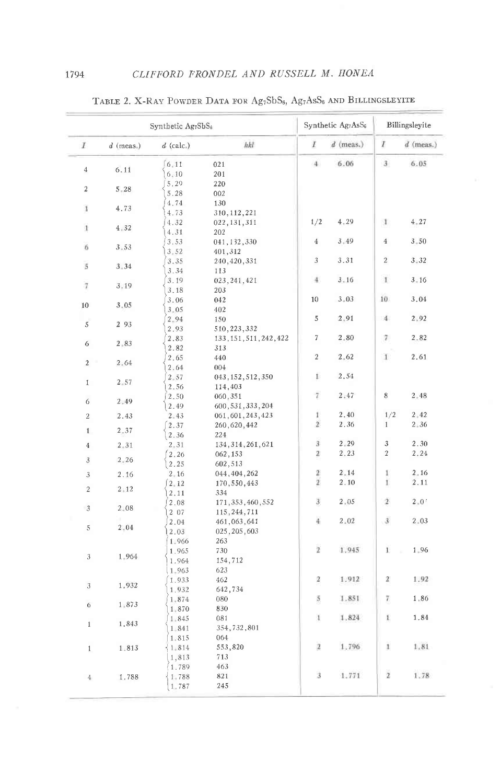|                         |               | Synthetic Ag7SbS <sub>6</sub> |                                          | Synthetic Ag7AsS <sub>6</sub>  |              | Billingsleyite     |              |
|-------------------------|---------------|-------------------------------|------------------------------------------|--------------------------------|--------------|--------------------|--------------|
| $\overline{I}$          | $d$ (meas.)   | $d$ (calc.)                   | hkl                                      | I                              | $d$ (meas.)  | I                  | d (meas.)    |
| $\,4\,$                 | 6.11          | [6, 11]<br>6.10               | 021<br>201                               | $\frac{4}{3}$                  | 6.06         | 3                  | 6.05         |
| $\sqrt{2}$              | $5 - 28$      | 5.29<br>5.28                  | 220<br>002                               |                                |              |                    |              |
| 1                       | 4.73          | 4.74<br>4.73                  | 130<br>310, 112, 221                     |                                |              |                    |              |
| 1                       | 4, 32         | 4.32<br>4.31                  | 022, 131, 311<br>202                     | 1/2                            | 4,29         | 1                  | 4.27         |
| 6                       | 3.53          | 3.53<br>$3 - 52$              | 041, 132, 330<br>401,312                 | $\overline{4}$                 | 3, 49        | $\overline{4}$     | $3 - 50$     |
| $\overline{5}$          | $3 - 34$      | 3.35<br>3.34                  | 240, 420, 331<br>113                     | 3                              | 3.31         | $\overline{2}$     | $3 - 32$     |
| $\overline{7}$          | 3.19          | 3.19                          | 023, 241, 421                            | 4                              | $3 - 16$     | $\mathbf{1}$       | 3:16         |
| 10                      | 3.05          | 3.18<br>3.06                  | 203<br>042                               | 10                             | $3 - 03$     | 10 <sup>°</sup>    | 3.04         |
| 5                       | 2 9 3         | $3 - 05$<br>2.94              | 402<br>150                               | 5                              | 2.91         | $\frac{4}{3}$      | 2.92         |
|                         |               | 2.93<br>2.83                  | 510, 223, 332<br>133, 151, 511, 242, 422 | $\overline{7}$                 | 2.80         | 7                  | $2 - 82$     |
| 6                       | 2.83          | 2.82<br>2.65                  | 313<br>440                               | $\overline{a}$                 | 2,62         | $\mathbf{1}$       | 2.61         |
| $\overline{2}$<br>×     | 2.64          | 2.64<br>2.57                  | 004<br>043, 152, 512, 350                | $\mathbbm{1}$                  | 2.54         |                    |              |
| $\mathbf{1}$            | $2 - 57$      | 2.56<br>2.50                  | 114,403<br>060,351                       | 7                              | 2:47         | 8                  | 2.48         |
| 6                       | 2.49          | 2.49                          | 600, 531, 333, 204                       | $\mathbf{1}^{\circ}$           | 2.40         | 1/2                | 2.42         |
| $\overline{2}$<br>$1\,$ | 2.43<br>2, 37 | $2 - 43$<br>2.37              | 061, 601, 243, 423<br>260, 620, 442      | $\bar{2}$                      | 2.36         | $\mathbf{1}$       | 2:36         |
| $\overline{4}$          | $2 - 31$      | 2.36<br>$2 - 31$              | 224<br>134, 314, 261, 621                | 3                              | 2.29         | 3                  | 2.30         |
| $\mathfrak{Z}$          | $2 - 26$      | 2.26<br>2.25                  | 062, 153<br>602,513                      | $\mathbf{z}$                   | 2.23         | $\overline{2}$     | 2.24         |
| 3                       | 2.16          | 2, 16<br>2, 12                | 044, 404, 262<br>170,550,443             | $\mathbf{2}$<br>$\overline{2}$ | 2.14<br>2.10 | $\mathbbm{1}$<br>ï | 2.16<br>2.11 |
| $\overline{c}$          | 2, 12         | 2.11<br>2.08                  | 334<br>171, 353, 460, 552                | 3.                             | 2.05         | $\overline{2}$     | $2 - 0$      |
| $\mathfrak{Z}$          | $2 - 08$      | 2 07                          | 115, 244, 711                            |                                |              |                    |              |
| 5                       | $2 - 04$      | 2.04<br>2.03<br>1.966         | 461,063,641<br>025, 205, 603<br>263      | 4                              | 2.02         | $3^{\circ}$        | 2.03         |
| $\sqrt{3}$              | 1.964         | 1.965<br>1.964                | 730<br>154,712                           | $\overline{2}$                 | 1.945        | $\mathbf{I}$       | 1.96         |
| 3                       | 1.932         | 1,963<br>1.933<br>1.932       | 623<br>462<br>642,734                    | 2                              | 1.912        | $\mathbf{Z}$       | 1.92         |
| $\ddot{\rm{o}}$         | $1 - 873$     | 1.874                         | 080<br>830                               | 5                              | 1.851        | 7                  | 1.86         |
| $\,1\,$                 | 1.843         | 1,870<br>1.845                | 081<br>354, 732, 801                     | $\mathbf{1}$                   | 1.824        | $\mathbbm{1}$      | 1.84         |
| $\mathbf{1}$            | 1.813         | 1841<br>1.815<br>1.814        | 064<br>553,820                           | 2                              | 1.796        | 1                  | 1.81         |
|                         |               | 1,813<br>1.789                | 713<br>463                               |                                |              |                    |              |
| $\overline{4}$          | 1.788         | 1.788<br>1.787                | 821<br>245                               | 3                              | 1.771        | z                  | 1.78         |

TABLE 2. X-RAY POWDER DATA FOR Ag<sub>7</sub>SbS<sub>6</sub>, Ag<sub>7</sub>AsS<sub>6</sub> AND BILLINGSLEYITE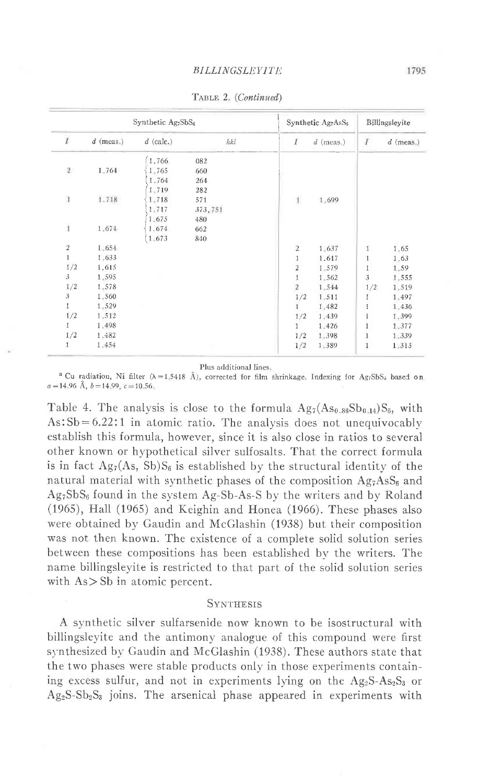|                |             | Synthetic Ag <sub>7</sub> SbS <sub>6</sub> |         |                         | Synthetic Ag7AsS <sub>6</sub> |                  | Billingsleyite |
|----------------|-------------|--------------------------------------------|---------|-------------------------|-------------------------------|------------------|----------------|
| $\bar{I}$      | $d$ (meas.) | $d$ (calc.)                                | hhl     | I                       | $d$ (meas.)                   | $\boldsymbol{I}$ | $d$ (meas.)    |
|                |             | 1.766                                      | 082     |                         |                               |                  |                |
| $\sqrt{2}$     | 1.764       | 1.765                                      | 660     |                         |                               |                  |                |
|                |             | 1.764                                      | 264     |                         |                               |                  |                |
|                |             | 1,719                                      | 282     |                         |                               |                  |                |
| $\mathbf{1}$   | 1.718       | 1.718                                      | 571     | $\mathbf 1$             | 1.699                         |                  |                |
|                |             | 1,717                                      | 373,751 |                         |                               |                  |                |
|                |             | 1.675                                      | 480     |                         |                               |                  |                |
| $\mathbf{1}$   | 1.674       | 1.674                                      | 662     |                         |                               |                  |                |
|                |             | 1.673                                      | 840     |                         |                               |                  |                |
| $\,2$          | 1.654       |                                            |         | $\sqrt{2}$              | 1,637                         | $\mathbf{I}$     | 1.65           |
| $\mathbf{1}$   | 1.633       |                                            |         | 1                       | 1.617                         | 1                | 1.63           |
| 1/2            | 1.615       |                                            |         | $\overline{\mathbf{c}}$ | 1.579                         | 1                | 1,59           |
| 3              | 1,595       |                                            |         | $\mathbf{1}$            | 1.562                         | $\sqrt{3}$       | 1.555          |
| 1/2            | 1,578       |                                            |         | $\sqrt{2}$              | 1.544                         | 1/2              | 1,519          |
| $\mathfrak{Z}$ | 1.560       |                                            |         | 1/2                     | 1.511                         | 1                | 1.497          |
| 1              | 1.529       |                                            |         | $\mathbf{1}$            | 1,482                         | 1                | 1.436          |
| 1/2            | 1.512       |                                            |         | 1/2                     | 1,439                         | $\mathbf{1}$     | 1.399          |
| 1              | 1.498       |                                            |         | $\mathbf{1}$            | 1.426                         | 1                | 1.377          |
| 1/2            | 1.482       |                                            |         | 1/2                     | 1.398                         | $\mathbf{1}$     | 1.339          |
| 1              | 1.454       |                                            |         | 1/2                     | 1.389                         | $\mathbf{1}$     | 1.313          |

TABLE 2. (Continued)

Plus additional lines.

<sup>a</sup> Cu radiation, Ni filter ( $\lambda=1,5418$  Å), corrected for film shrinkage, Indexing for Ag<sub>7</sub>SbS<sub>i</sub> based on  $a=14.96$  Å,  $b=14.99$ ,  $c=10.56$ .

Table 4. The analysis is close to the formula  $Ag_7(As_{0.86}Sb_{0.14})S_6$ , with  $\text{As:}\ 5b=6.22:1$  in atomic ratio. The analysis does not unequivocably establish this formula, however, since it is also close in ratios to several other known or hypothetical silver sulfosalts. That the correct formula is in fact Ag<sub>7</sub>(As, Sb)S<sub>6</sub> is established by the structural identity of the natural material with synthetic phases of the composition  $Ag_7AsS_6$  and Ag<sub>7</sub>SbS<sub>6</sub> found in the system Ag-Sb-As-S by the writers and by Roland (1965), Hall (1965) and Keighin and Honea (1966). These phases also were obtained bv Gaudin and McGlashin (1938) but their composition was not then known. The existence of a complete solid solution series between these compositions has been established by the writers. The name billingsleyite is restricted to that part of the solid solution series with  $As > Sb$  in atomic percent.

## **SYNTHESIS**

A synthetic silver sulfarsenide now known to be isostructural with billingsleyite and the antimony analogue of this compound were first synthesized by Gaudin and McGlashin (1938). These authors state that the two phases were stable products only in those experiments containing excess sulfur, and not in experiments lying on the  $Ag_2S-As_2S_3$  or  $Ag_2S-Sb_2S_3$  joins. The arsenical phase appeared in experiments with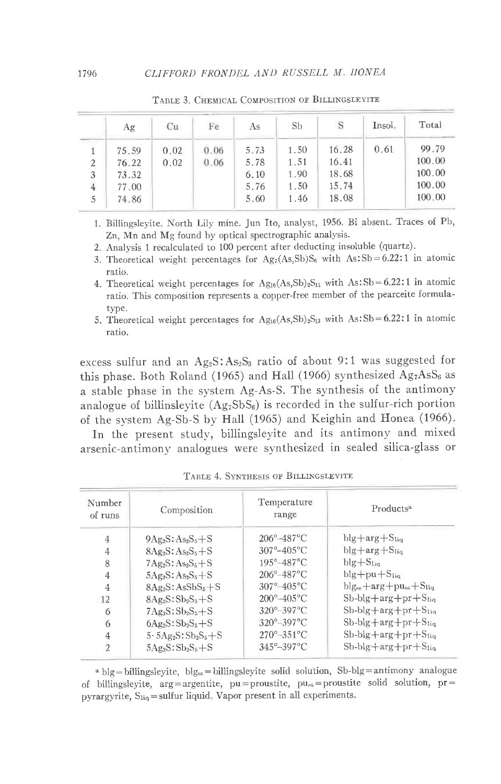|                | Ag    | Cu   | Fe   | As   | <b>Sb</b> | S     | Insol. | Total  |
|----------------|-------|------|------|------|-----------|-------|--------|--------|
|                | 75.59 | 0.02 | 0.06 | 5.73 | 1.50      | 16.28 | 0.61   | 99.79  |
| $\overline{2}$ | 76.22 | 0.02 | 0.06 | 5.78 | 1.51      | 16.41 |        | 100.00 |
| 3              | 73.32 |      |      | 6.10 | 1.90      | 18.68 |        | 100.00 |
| 4              | 77.00 |      |      | 5.76 | 1.50      | 15.74 |        | 100.00 |
| 5              | 74.86 |      |      | 5.60 | 1.46      | 18.08 |        | 100,00 |

TABLE 3. CHEMICAL COMPOSITION OF BILLINGSLEYITE

1. Billingsleyite North Lily mine. Jun Ito, analyst, 1956. Bi absent. Traces of Pb, Zn, Mn and Mg found by optical spectrographic analysis.

2. Analysis 1 recalculated to 100 percent after deducting insoluble (quartz).

3. Theoretical weight percentages for  $Ag_7(As, Sb)S_6$  with  $As:Sb=6.22:1$  in atomic ratio.

4. Theoretical weight percentages for  $Ag_{16}(As, Sb)_2S_{11}$  with  $As:Sb=6.22:1$  in atomic ratio. This composition represents a copper-free member of the pearceite formulatype.

5. Theoretical weight percentages for  $Ag_{16}(As, Sb)_2S_{13}$  with As:Sb=6.22:1 in atomic ratio.

excess sulfur and an  $Ag_2S: As_2S_3$  ratio of about 9:1 was suggested for this phase. Both Roland (1965) and Hall (1966) synthesized  $Ag_7AsS_6$  as a stable phase in the system Ag-As-S. The synthesis of the antimony analogue of billinsleyite  $(Ag_7SbS_6)$  is recorded in the sulfur-rich portion of the system Ag-Sb-S by Hall (1965) and Keighin and Honea (1966).

In the present study, billingsleyite and its antimony and mixed arsenic-antimony analogues were synthesized in sealed silica-glass or

| Number<br>of runs        | Composition                | Temperature<br>range          | Products <sup>a</sup>                        |
|--------------------------|----------------------------|-------------------------------|----------------------------------------------|
| 4                        | $9Ag_2S: As_2S_5+S$        | $206^{\circ} - 487^{\circ}$ C | $blg+arg+S_{liq}$                            |
| 4                        | $8Ag_2S: As_2S_5+S$        | $307^{\circ}-405^{\circ}$ C   | $blg + arg + SIia$                           |
| 8                        | $7Ag_2S:As_2S_5+S$         | $195^\circ - 487^\circ$ C     | $blg + S1$                                   |
| 4                        | $5Ag_2S: As_2S_5 + S$      | $206^\circ - 487^\circ$ C     | $blg + pu + Sliq$                            |
| $\overline{4}$           | $8Ag_2S:AsSbS_5+S$         | $307^{\circ} - 405^{\circ}$ C | $blg_{ss}$ +arg+pu <sub>ss</sub> + $S_{liq}$ |
| 12                       | $8Ag_2S:5b_2S_5+S$         | $200^{\circ} - 405^{\circ}$ C | $Sb-blg+arg+pr+Sliq$                         |
| 6                        | $7Ag_2S:Sb_2S_5+S$         | $320^{\circ} - 397^{\circ}$ C | $Sb$ -blg + $\arg$ + $pr$ + $S_{liq}$        |
| 6                        | $6Ag_2S:Sb_2S_5+S$         | $320^\circ - 397^\circ$ C     | $Sb$ -blg + $\arg$ + $pr$ + $S_{liq}$        |
| 4                        | $5.5Ag_2S:Sb_2S_5+S$       | $270^{\circ} - 351^{\circ}$ C | $Sb$ -blg + $\arg$ + $pr$ + $S_{liq}$        |
| $\overline{\mathcal{L}}$ | $5A\mathcal{B}S:Sb_2S_3+S$ | $345^{\circ} - 397^{\circ}$ C | $Sb$ -blg $+arg+pr+Sliq$                     |

TABLE 4. SYNTHESIS OF BILLINGSLEYITE

 $b_1$  blg = billingsleyite, blg<sub>ss</sub> = billingsleyite solid solution, Sb-blg = antimony analogue of billingsleyite,  $arg = argenite$ ,  $pu = proxite$ ,  $pu_{ss} = proxite$  solid solution,  $pr =$ pyrargyrite, S<sub>liq</sub>=sulfur liquid. Vapor present in all experiments.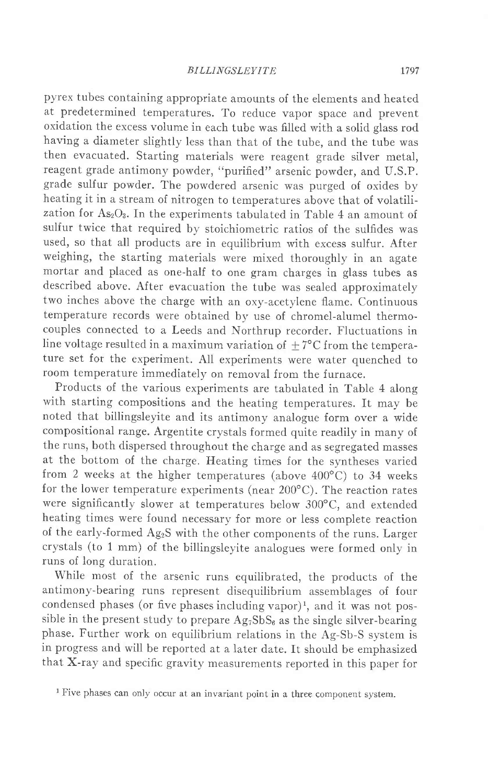pyrex tubes containing appropriate amounts of the elements and heated at predetermined temperatures. To reduce vapor space and prevent oxidation the excess volume in each tube was filled with a solid glass rod having a diameter slightly less than that of the tube, and the tube was then evacuated. Starting materials were reagent grade silver metal, reagent grade antimony powder, "purified" arsenic powder, and U.S.P. grade sulfur powder. The powdered arsenic was purged of oxides by heating it in a stream of nitrogen to temperatures above that of volatilization for  $As_2O_3$ . In the experiments tabulated in Table 4 an amount of sulfur twice that required by stoichiometric ratios of the sulfides was used, so that all products are in equilibrium with excess sulfur. After weighing, the starting materials were mixed thoroughly in an agate mortar and placed as one-half to one gram charges in glass tubes as described above. After evacuation the tube was sealed approximately two inches above the charge with an oxy-acetylene flame. Continuous temperature records were obtained by use of chromel-alumel thermocouples connected to a Leeds and Northrup recorder. Fluctuations in line voltage resulted in a maximum variation of  $+7^{\circ}$ C from the temperature set for the experiment. All experiments were water quenched to room temperature immediately on removal from the furnace.

Products of the various experiments are tabulated in Table 4 along with starting compositions and the heating temperatures. It may be noted that billingsleyite and its antimony analogue form over a wide compositional range. Argentite crystals formed quite readily in many of the runs, both dispersed throughout the charge and as segregated masses at the bottom of the charge. Heating times for the syntheses varied from 2 weeks at the higher temperatures (above  $400^{\circ}$ C) to 34 weeks for the lower temperature experiments (near 200"C). The reaction rates were significantly slower at temperatures below 300°C, and extended heating times were found necessary for more or less complete reaction of the early-formed AgzS with the other components of the runs. Larger crystals (to 1 mm) of the billingsleyite analogues were formed only in runs of long duration.

While most of the arsenic runs equilibrated, the products of the antimony-bearing runs represent disequilibrium assemblages of four condensed phases (or five phases including vapor)<sup>1</sup>, and it was not possible in the present study to prepare  $Ag_7SbS_6$  as the single silver-bearing phase. Further work on equilibrium relations in the Ag-Sb-S system is in progress and will be reported at a later date. It should be emphasized that X-ray and specific gravitv measurements reported in this paper for

<sup>1</sup> Five phases can only occur at an invariant point in a three component system.